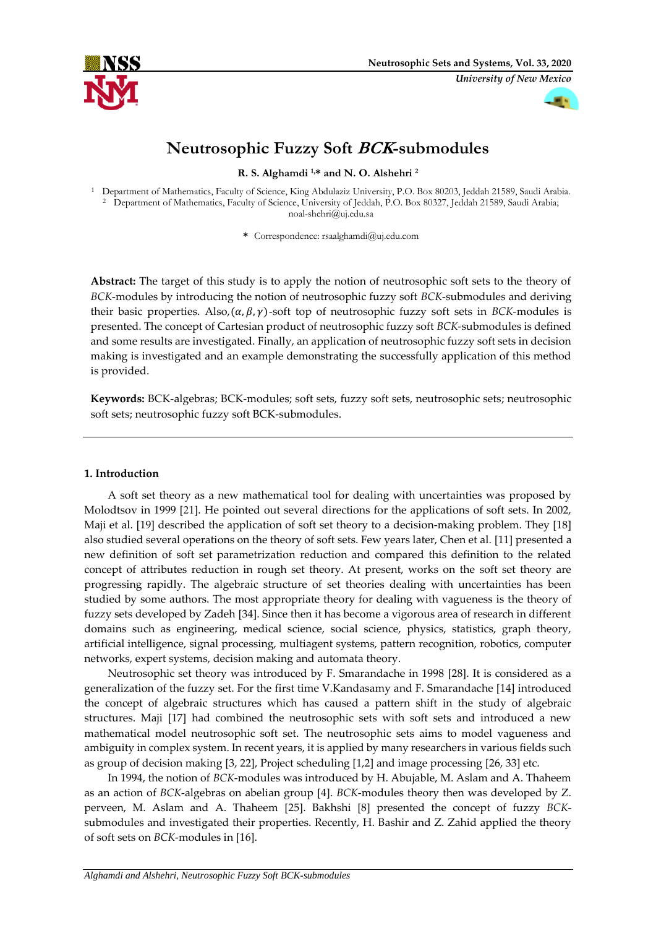

*University of New Mexico*



# **Neutrosophic Fuzzy Soft BCK-submodules**

**R. S. Alghamdi 1,\* and N. O. Alshehri <sup>2</sup>**

<sup>1</sup> Department of Mathematics, Faculty of Science, King Abdulaziz University, P.O. Box 80203, Jeddah 21589, Saudi Arabia. <sup>2</sup> Department of Mathematics, Faculty of Science, University of Jeddah, P.O. Box 80327, Jeddah 21589, Saudi Arabia; noal-shehri@uj.edu.sa

**\*** Correspondence: rsaalghamdi@uj.edu.com

**Abstract:** The target of this study is to apply the notion of neutrosophic soft sets to the theory of *BCK*-modules by introducing the notion of neutrosophic fuzzy soft *BCK*-submodules and deriving their basic properties. Also,  $(\alpha, \beta, \gamma)$ -soft top of neutrosophic fuzzy soft sets in *BCK*-modules is presented. The concept of Cartesian product of neutrosophic fuzzy soft *BCK*-submodules is defined and some results are investigated. Finally, an application of neutrosophic fuzzy soft sets in decision making is investigated and an example demonstrating the successfully application of this method is provided.

**Keywords:** BCK-algebras; BCK-modules; soft sets, fuzzy soft sets, neutrosophic sets; neutrosophic soft sets; neutrosophic fuzzy soft BCK-submodules.

# **1. Introduction**

A soft set theory as a new mathematical tool for dealing with uncertainties was proposed by Molodtsov in 1999 [21]. He pointed out several directions for the applications of soft sets. In 2002, Maji et al. [19] described the application of soft set theory to a decision-making problem. They [18] also studied several operations on the theory of soft sets. Few years later, Chen et al. [11] presented a new definition of soft set parametrization reduction and compared this definition to the related concept of attributes reduction in rough set theory. At present, works on the soft set theory are progressing rapidly. The algebraic structure of set theories dealing with uncertainties has been studied by some authors. The most appropriate theory for dealing with vagueness is the theory of fuzzy sets developed by Zadeh [34]. Since then it has become a vigorous area of research in different domains such as engineering, medical science, social science, physics, statistics, graph theory, artificial intelligence, signal processing, multiagent systems, pattern recognition, robotics, computer networks, expert systems, decision making and automata theory.

Neutrosophic set theory was introduced by F. Smarandache in 1998 [28]. It is considered as a generalization of the fuzzy set. For the first time V.Kandasamy and F. Smarandache [14] introduced the concept of algebraic structures which has caused a pattern shift in the study of algebraic structures. Maji [17] had combined the neutrosophic sets with soft sets and introduced a new mathematical model neutrosophic soft set. The neutrosophic sets aims to model vagueness and ambiguity in complex system. In recent years, it is applied by many researchers in various fields such as group of decision making [3, 22], Project scheduling [1,2] and image processing [26, 33] etc.

In 1994, the notion of *BCK*-modules was introduced by H. Abujable, M. Aslam and A. Thaheem as an action of *BCK*-algebras on abelian group [4]. *BCK*-modules theory then was developed by Z. perveen, M. Aslam and A. Thaheem [25]. Bakhshi [8] presented the concept of fuzzy *BCK*submodules and investigated their properties. Recently, H. Bashir and Z. Zahid applied the theory of soft sets on *BCK*-modules in [16].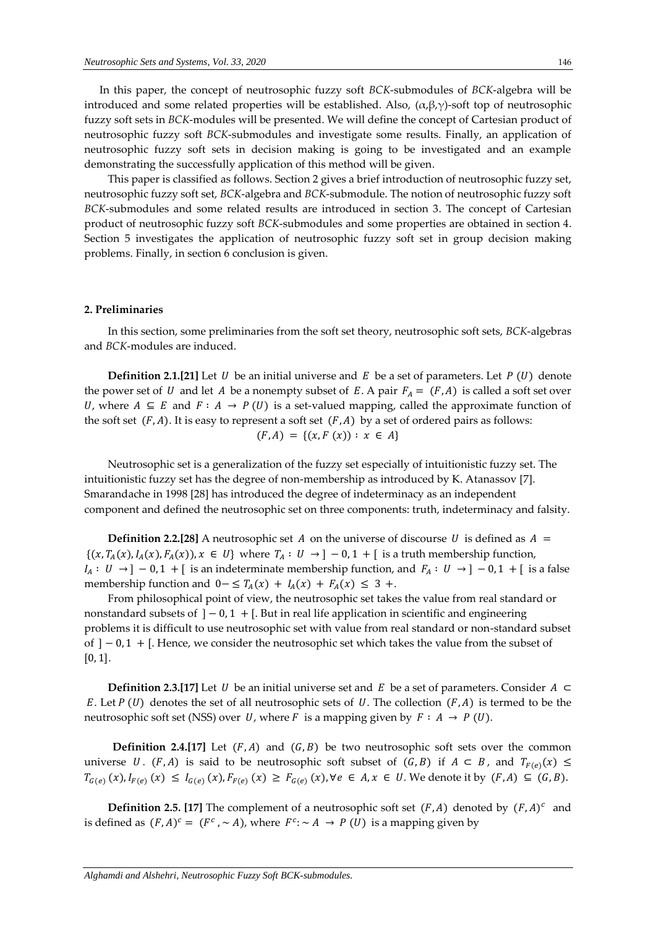In this paper, the concept of neutrosophic fuzzy soft *BCK*-submodules of *BCK*-algebra will be introduced and some related properties will be established. Also,  $(\alpha, \beta, \gamma)$ -soft top of neutrosophic fuzzy soft sets in *BCK*-modules will be presented. We will define the concept of Cartesian product of neutrosophic fuzzy soft *BCK*-submodules and investigate some results. Finally, an application of neutrosophic fuzzy soft sets in decision making is going to be investigated and an example demonstrating the successfully application of this method will be given.

This paper is classified as follows. Section 2 gives a brief introduction of neutrosophic fuzzy set, neutrosophic fuzzy soft set, *BCK*-algebra and *BCK*-submodule. The notion of neutrosophic fuzzy soft *BCK*-submodules and some related results are introduced in section 3. The concept of Cartesian product of neutrosophic fuzzy soft *BCK*-submodules and some properties are obtained in section 4. Section 5 investigates the application of neutrosophic fuzzy soft set in group decision making problems. Finally, in section 6 conclusion is given.

#### **2. Preliminaries**

In this section, some preliminaries from the soft set theory, neutrosophic soft sets, *BCK*-algebras and *BCK*-modules are induced.

**Definition 2.1.[21]** Let U be an initial universe and E be a set of parameters. Let  $P(U)$  denote the power set of U and let A be a nonempty subset of E. A pair  $F_A = (F, A)$  is called a soft set over U, where  $A \subseteq E$  and  $F : A \to P(U)$  is a set-valued mapping, called the approximate function of the soft set  $(F, A)$ . It is easy to represent a soft set  $(F, A)$  by a set of ordered pairs as follows:  $(F, A) = \{(x, F(x)) : x \in A\}$ 

Neutrosophic set is a generalization of the fuzzy set especially of intuitionistic fuzzy set. The intuitionistic fuzzy set has the degree of non-membership as introduced by K. Atanassov [7]. Smarandache in 1998 [28] has introduced the degree of indeterminacy as an independent component and defined the neutrosophic set on three components: truth, indeterminacy and falsity.

**Definition 2.2.[28]** A neutrosophic set A on the universe of discourse U is defined as  $A =$  $\{(x, T_A(x), I_A(x), F_A(x)), x \in U\}$  where  $T_A: U \to ] -0, 1 + [$  is a truth membership function,  $I_A: U → ] - 0, 1 + [$  is an indeterminate membership function, and  $F_A: U → ] - 0, 1 + [$  is a false membership function and  $0 - \leq T_A(x) + I_A(x) + F_A(x) \leq 3 +$ .

From philosophical point of view, the neutrosophic set takes the value from real standard or nonstandard subsets of  $]-0,1 +[$ . But in real life application in scientific and engineering problems it is difficult to use neutrosophic set with value from real standard or non-standard subset of  $]-0,1+[$ . Hence, we consider the neutrosophic set which takes the value from the subset of  $[0, 1]$ .

**Definition 2.3.[17]** Let *U* be an initial universe set and *E* be a set of parameters. Consider  $A \subset$ E. Let  $P(U)$  denotes the set of all neutrosophic sets of U. The collection  $(F, A)$  is termed to be the neutrosophic soft set (NSS) over U, where F is a mapping given by  $F : A \rightarrow P(U)$ .

**Definition 2.4.[17]** Let  $(F, A)$  and  $(G, B)$  be two neutrosophic soft sets over the common universe *U*. (*F*, *A*) is said to be neutrosophic soft subset of (*G*, *B*) if  $A \subset B$ , and  $T_{F(e)}(x) \le$  $T_{G(e)}(x), I_{F(e)}(x) \le I_{G(e)}(x), F_{F(e)}(x) \ge F_{G(e)}(x), \forall e \in A, x \in U$ . We denote it by  $(F, A) \subseteq (G, B)$ .

**Definition 2.5. [17]** The complement of a neutrosophic soft set  $(F, A)$  denoted by  $(F, A)^c$  and is defined as  $(F, A)^c = (F^c, \sim A)$ , where  $F^c$ :  $\sim A \rightarrow P(U)$  is a mapping given by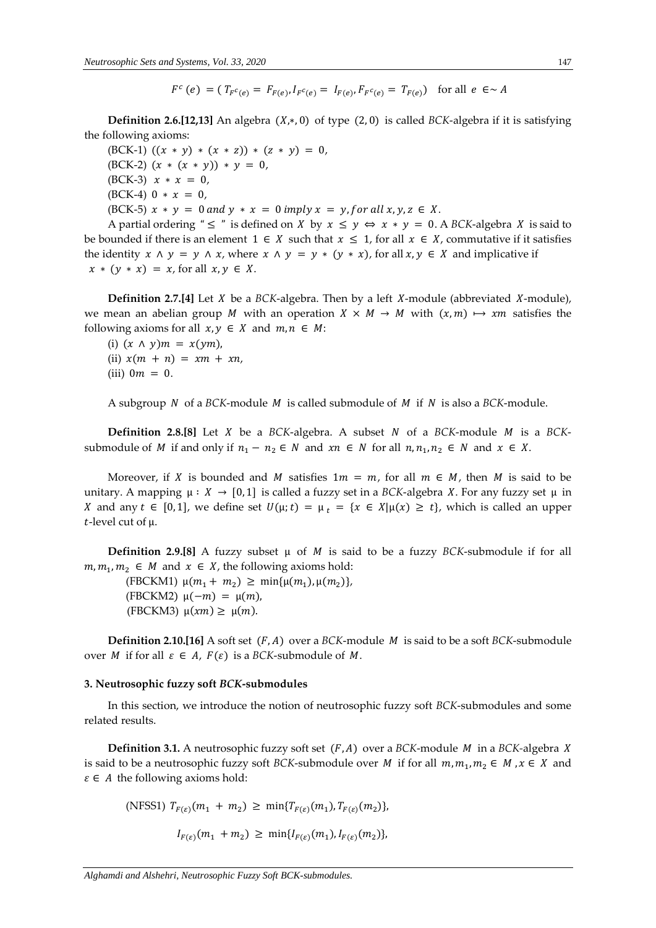$$
F^c(e) = (T_F c_{(e)} = F_{F(e)}, I_F c_{(e)} = I_{F(e)}, F_F c_{(e)} = T_{F(e)})
$$
 for all  $e \in A$ 

**Definition 2.6.[12,13]** An algebra  $(X,*,0)$  of type  $(2,0)$  is called *BCK*-algebra if it is satisfying the following axioms:

(BCK-1)  $((x * y) * (x * z)) * (z * y) = 0,$  $(BCK-2)$   $(x * (x * y)) * y = 0$ ,  $(BCK-3)$   $x * x = 0$ ,  $(BCK-4)$  0 \*  $x = 0$ , (BCK-5)  $x * y = 0$  and  $y * x = 0$  imply  $x = y$ , for all  $x, y, z \in X$ .

A partial ordering "  $\leq$  " is defined on X by  $x \leq y \Leftrightarrow x * y = 0$ . A BCK-algebra X is said to be bounded if there is an element  $1 \in X$  such that  $x \le 1$ , for all  $x \in X$ , commutative if it satisfies the identity  $x \wedge y = y \wedge x$ , where  $x \wedge y = y * (y * x)$ , for all  $x, y \in X$  and implicative if  $x * (y * x) = x$ , for all  $x, y \in X$ .

**Definition 2.7.[4]** Let *X* be a *BCK*-algebra. Then by a left *X*-module (abbreviated *X*-module), we mean an abelian group M with an operation  $X \times M \rightarrow M$  with  $(x, m) \mapsto xm$  satisfies the following axioms for all  $x, y \in X$  and  $m, n \in M$ :

(i)  $(x \wedge y)m = x(ym)$ , (ii)  $x(m + n) = xm + xn,$ (iii)  $0m = 0$ .

A subgroup  $N$  of a  $BCK$ -module  $M$  is called submodule of  $M$  if  $N$  is also a  $BCK$ -module.

**Definition 2.8.[8]** Let  $X$  be a  $BCK$ -algebra. A subset  $N$  of a  $BCK$ -module  $M$  is a  $BCK$ submodule of M if and only if  $n_1 - n_2 \in N$  and  $xn \in N$  for all  $n, n_1, n_2 \in N$  and  $x \in X$ .

Moreover, if X is bounded and M satisfies  $1m = m$ , for all  $m \in M$ , then M is said to be unitary. A mapping  $\mu : X \to [0, 1]$  is called a fuzzy set in a *BCK*-algebra *X*. For any fuzzy set  $\mu$  in X and any  $t \in [0, 1]$ , we define set  $U(\mu; t) = \mu_t = \{x \in X | \mu(x) \geq t\}$ , which is called an upper  $t$ -level cut of  $\mu$ .

**Definition 2.9.[8]** A fuzzy subset  $\mu$  of *M* is said to be a fuzzy *BCK*-submodule if for all  $m, m_1, m_2 \in M$  and  $x \in X$ , the following axioms hold:

(FBCKM1)  $\mu(m_1 + m_2) \geq \min{\mu(m_1), \mu(m_2)},$ (FBCKM2)  $\mu(-m) = \mu(m)$ , (FBCKM3)  $\mu(xm) \geq \mu(m)$ .

**Definition 2.10.[16]** A soft set  $(F, A)$  over a *BCK*-module *M* is said to be a soft *BCK*-submodule over *M* if for all  $\varepsilon \in A$ ,  $F(\varepsilon)$  is a *BCK*-submodule of *M*.

#### **3. Neutrosophic fuzzy soft** *BCK***-submodules**

In this section, we introduce the notion of neutrosophic fuzzy soft *BCK*-submodules and some related results.

**Definition 3.1.** A neutrosophic fuzzy soft set  $(F, A)$  over a *BCK*-module *M* in a *BCK*-algebra *X* is said to be a neutrosophic fuzzy soft *BCK*-submodule over *M* if for all  $m, m_1, m_2 \in M$ ,  $x \in X$  and  $\varepsilon \in A$  the following axioms hold:

(NFSS1)  $T_{F(\varepsilon)}(m_1 + m_2) \ge \min\{T_{F(\varepsilon)}(m_1), T_{F(\varepsilon)}(m_2)\},$ 

$$
I_{F(\varepsilon)}(m_1 + m_2) \geq \min\{I_{F(\varepsilon)}(m_1), I_{F(\varepsilon)}(m_2)\},
$$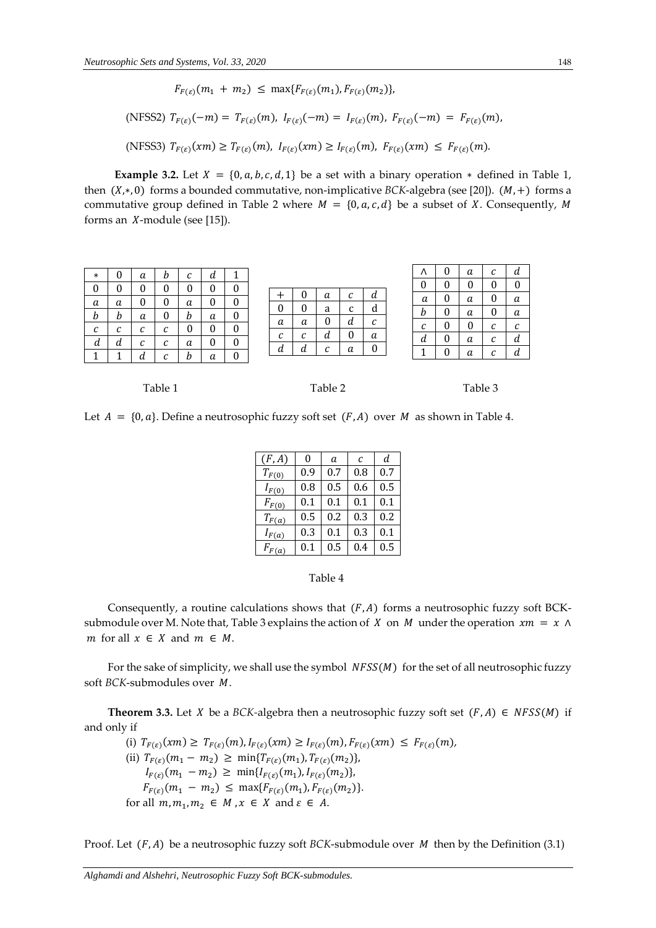$F_{F(\varepsilon)}(m_1 + m_2) \leq \max\{F_{F(\varepsilon)}(m_1), F_{F(\varepsilon)}(m_2)\},$ 

(NFSS2) 
$$
T_{F(\varepsilon)}(-m) = T_{F(\varepsilon)}(m)
$$
,  $I_{F(\varepsilon)}(-m) = I_{F(\varepsilon)}(m)$ ,  $F_{F(\varepsilon)}(-m) = F_{F(\varepsilon)}(m)$ ,

(NFSS3)  $T_{F(\varepsilon)}(xm) \ge T_{F(\varepsilon)}(m)$ ,  $I_{F(\varepsilon)}(xm) \ge I_{F(\varepsilon)}(m)$ ,  $F_{F(\varepsilon)}(xm) \le F_{F(\varepsilon)}(m)$ .

**Example 3.2.** Let  $X = \{0, a, b, c, d, 1\}$  be a set with a binary operation  $*$  defined in Table 1, then  $(X,*, 0)$  forms a bounded commutative, non-implicative *BCK*-algebra (see [20]).  $(M,+)$  forms a commutative group defined in Table 2 where  $M = \{0, a, c, d\}$  be a subset of X. Consequently, M forms an  $X$ -module (see [15]).

| $\ast$     | 0 | а          | b | $\sqrt{ }$<br>U | и |   |                 |        |            |                 |                 | Λ               |   | a | С      | и          |
|------------|---|------------|---|-----------------|---|---|-----------------|--------|------------|-----------------|-----------------|-----------------|---|---|--------|------------|
| 0          |   |            | 0 |                 |   |   |                 |        |            |                 |                 | O               |   |   |        |            |
| a          | а | 0          | 0 | а               | 0 |   |                 |        | a          | С               | a               | a               | U | a |        | a          |
| b          | b | а          | 0 | b               | а | U |                 | .,     | a          | $\sqrt{2}$<br>◡ | α               | b               | O | a |        | a          |
| $\sqrt{ }$ | С | $\sqrt{ }$ | C |                 |   |   | a               | а      |            | а               | $\sqrt{ }$<br>U | $\sqrt{ }$<br>◡ |   |   | r<br>u | $\sqrt{ }$ |
| U<br>d     | a | U<br>С     | с | а               | 0 |   | $\sqrt{ }$<br>u | r<br>u | а          | υ               | a               | a               | O | a | С      | а          |
|            |   |            | r |                 |   |   |                 | u      | $\sqrt{ }$ | а               | O               | ◢               |   | a | ◠      | и          |
|            |   | d          |   | b               | a |   |                 |        |            |                 |                 |                 |   |   |        |            |



Let  $A = \{0, a\}$ . Define a neutrosophic fuzzy soft set  $(F, A)$  over M as shown in Table 4.

| (F, A)     | 0       | a   | C   | d       |
|------------|---------|-----|-----|---------|
| $T_{F(0)}$ | 0.9     | 0.7 | 0.8 | 0.7     |
| $I_{F(0)}$ | 0.8     | 0.5 | 0.6 | 0.5     |
| $F_{F(0)}$ | 0.1     | 0.1 | 0.1 | 0.1     |
| $T_{F(a)}$ | 0.5     | 0.2 | 0.3 | 0.2     |
| $I_{F(a)}$ | 0.3     | 0.1 | 0.3 | 0.1     |
| $F_{F(a)}$ | $0.1\,$ | 0.5 | 0.4 | $0.5\,$ |

#### Table 4

Consequently, a routine calculations shows that  $(F, A)$  forms a neutrosophic fuzzy soft BCKsubmodule over M. Note that, Table 3 explains the action of X on M under the operation  $xm = x \wedge y$ m for all  $x \in X$  and  $m \in M$ .

For the sake of simplicity, we shall use the symbol  $NFSS(M)$  for the set of all neutrosophic fuzzy soft *BCK*-submodules over *M*.

**Theorem 3.3.** Let *X* be a *BCK*-algebra then a neutrosophic fuzzy soft set  $(F, A) \in NFSS(M)$  if and only if

(i)  $T_{F(\varepsilon)}(xm) \geq T_{F(\varepsilon)}(m), I_{F(\varepsilon)}(xm) \geq I_{F(\varepsilon)}(m), F_{F(\varepsilon)}(xm) \leq F_{F(\varepsilon)}(m),$ (ii)  $T_{F(\varepsilon)}(m_1 - m_2) \ge \min\{T_{F(\varepsilon)}(m_1), T_{F(\varepsilon)}(m_2)\},$  $I_{F(\varepsilon)}(m_1 - m_2) \geq \min\{I_{F(\varepsilon)}(m_1), I_{F(\varepsilon)}(m_2)\},\$  $F_{F(\varepsilon)}(m_1 - m_2) \leq \max\{F_{F(\varepsilon)}(m_1), F_{F(\varepsilon)}(m_2)\}.$ for all  $m, m_1, m_2 \in M$ ,  $x \in X$  and  $\varepsilon \in A$ .

Proof. Let  $(F, A)$  be a neutrosophic fuzzy soft *BCK*-submodule over *M* then by the Definition (3.1)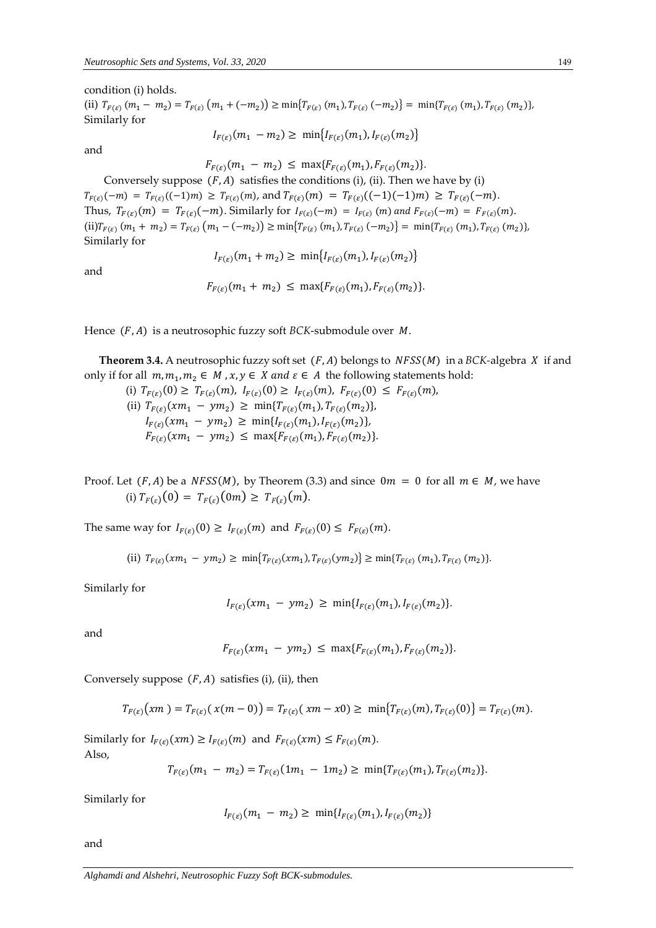condition (i) holds.

(ii)  $T_{F(\varepsilon)}$   $(m_1 - m_2) = T_{F(\varepsilon)}$   $(m_1 + (-m_2)) \ge \min\{T_{F(\varepsilon)} (m_1), T_{F(\varepsilon)} (-m_2)\} = \min\{T_{F(\varepsilon)} (m_1), T_{F(\varepsilon)} (m_2)\},$ Similarly for

$$
I_{F(\varepsilon)}(m_1 - m_2) \ge \min\{I_{F(\varepsilon)}(m_1), I_{F(\varepsilon)}(m_2)\}\
$$

and

 $F_{F(\varepsilon)}(m_1 - m_2) \leq \max\{F_{F(\varepsilon)}(m_1), F_{F(\varepsilon)}(m_2)\}.$ 

Conversely suppose  $(F, A)$  satisfies the conditions (i), (ii). Then we have by (i)  $T_{F(\varepsilon)}(-m) = T_{F(\varepsilon)}((-1)m) \geq T_{F(\varepsilon)}(m)$ , and  $T_{F(\varepsilon)}(m) = T_{F(\varepsilon)}((-1)(-1)m) \geq T_{F(\varepsilon)}(-m)$ . Thus,  $T_{F(\varepsilon)}(m) = T_{F(\varepsilon)}(-m)$ . Similarly for  $I_{F(\varepsilon)}(-m) = I_{F(\varepsilon)}(m)$  and  $F_{F(\varepsilon)}(-m) = F_{F(\varepsilon)}(m)$ .  $(i)T_{F(\varepsilon)}(m_1 + m_2) = T_{F(\varepsilon)}(m_1 - (-m_2)) \ge \min\{T_{F(\varepsilon)}(m_1), T_{F(\varepsilon)}(-m_2)\} = \min\{T_{F(\varepsilon)}(m_1), T_{F(\varepsilon)}(m_2)\},$ Similarly for

and

$$
I_{F(\varepsilon)}(m_1 + m_2) \ge \min\{I_{F(\varepsilon)}(m_1), I_{F(\varepsilon)}(m_2)\}\
$$

$$
F_{F(\varepsilon)}(m_1 + m_2) \leq \max\{F_{F(\varepsilon)}(m_1), F_{F(\varepsilon)}(m_2)\}.
$$

Hence  $(F, A)$  is a neutrosophic fuzzy soft *BCK*-submodule over  $M$ .

**Theorem 3.4.** A neutrosophic fuzzy soft set  $(F, A)$  belongs to  $NFSS(M)$  in a *BCK*-algebra *X* if and only if for all  $m, m_1, m_2 \in M$  ,  $x, y \in X$  and  $\varepsilon \in A$  the following statements hold:

(i)  $T_{F(\varepsilon)}(0) \geq T_{F(\varepsilon)}(m), I_{F(\varepsilon)}(0) \geq I_{F(\varepsilon)}(m), F_{F(\varepsilon)}(0) \leq F_{F(\varepsilon)}(m),$ (ii)  $T_{F(\varepsilon)}(xm_1 - ym_2) \geq \min\{T_{F(\varepsilon)}(m_1), T_{F(\varepsilon)}(m_2)\},$  $I_{F(\varepsilon)}(xm_1 - ym_2) \geq \min\{I_{F(\varepsilon)}(m_1), I_{F(\varepsilon)}(m_2)\},$  $F_{F(\varepsilon)}(xm_1 - ym_2) \leq \max\{F_{F(\varepsilon)}(m_1), F_{F(\varepsilon)}(m_2)\}.$ 

Proof. Let  $(F, A)$  be a  $NFSS(M)$ , by Theorem (3.3) and since  $0m = 0$  for all  $m \in M$ , we have (i)  $T_{F(\varepsilon)}(0) = T_{F(\varepsilon)}(0m) \geq T_{F(\varepsilon)}(m).$ 

The same way for  $I_{F(\varepsilon)}(0) \geq I_{F(\varepsilon)}(m)$  and  $F_{F(\varepsilon)}(0) \leq F_{F(\varepsilon)}(m)$ .

(ii)  $T_{F(\varepsilon)}(xm_1 - ym_2) \ge \min\{T_{F(\varepsilon)}(xm_1), T_{F(\varepsilon)}(ym_2)\} \ge \min\{T_{F(\varepsilon)}(m_1), T_{F(\varepsilon)}(m_2)\}.$ 

Similarly for

$$
I_{F(\varepsilon)}(xm_1 - ym_2) \geq \min\{I_{F(\varepsilon)}(m_1), I_{F(\varepsilon)}(m_2)\}.
$$

and

$$
F_{F(\varepsilon)}(xm_1 - ym_2) \leq \max\{F_{F(\varepsilon)}(m_1), F_{F(\varepsilon)}(m_2)\}.
$$

Conversely suppose  $(F, A)$  satisfies (i), (ii), then

$$
T_{F(\varepsilon)}(xm) = T_{F(\varepsilon)}(x(m-0)) = T_{F(\varepsilon)}(xm-x0) \geq \min\{T_{F(\varepsilon)}(m), T_{F(\varepsilon)}(0)\} = T_{F(\varepsilon)}(m).
$$

Similarly for  $I_{F(\varepsilon)}(xm) \geq I_{F(\varepsilon)}(m)$  and  $F_{F(\varepsilon)}(xm) \leq F_{F(\varepsilon)}(m)$ . Also,

$$
T_{F(\varepsilon)}(m_1 - m_2) = T_{F(\varepsilon)}(1m_1 - 1m_2) \ge \min\{T_{F(\varepsilon)}(m_1), T_{F(\varepsilon)}(m_2)\}.
$$

Similarly for

$$
I_{F(\varepsilon)}(m_1 - m_2) \ge \min\{I_{F(\varepsilon)}(m_1), I_{F(\varepsilon)}(m_2)\}\
$$

and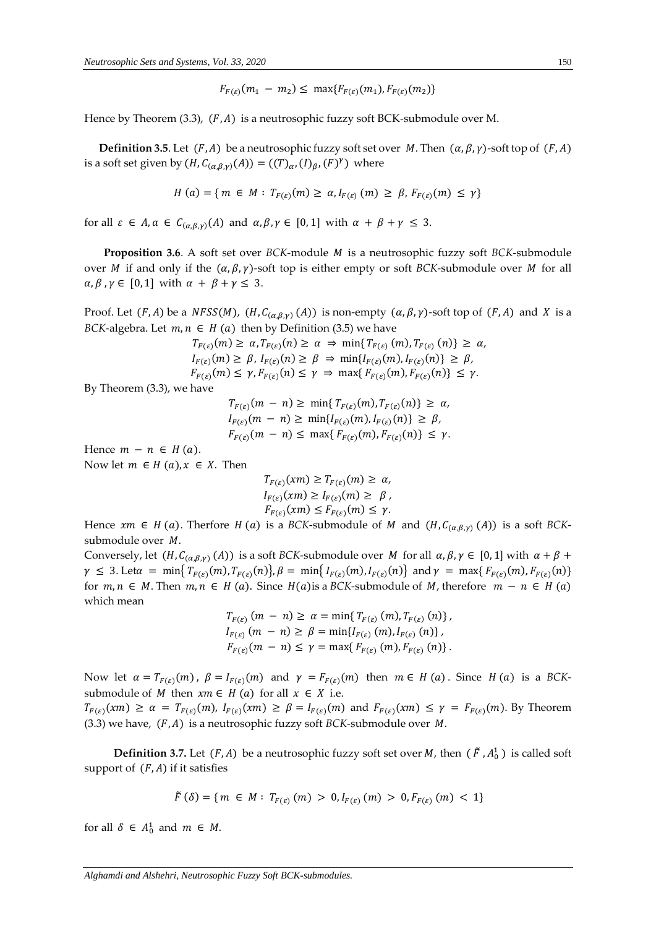$$
F_{F(\varepsilon)}(m_1 - m_2) \leq \max\{F_{F(\varepsilon)}(m_1), F_{F(\varepsilon)}(m_2)\}
$$

Hence by Theorem (3.3),  $(F, A)$  is a neutrosophic fuzzy soft BCK-submodule over M.

**Definition 3.5**. Let  $(F, A)$  be a neutrosophic fuzzy soft set over M. Then  $(\alpha, \beta, \gamma)$ -soft top of  $(F, A)$ is a soft set given by  $(H, C_{(\alpha,\beta,\gamma)}(A)) = ((T)_{\alpha}, (I)_{\beta}, (F)^{\gamma})$  where

$$
H(a) = \{ m \in M : T_{F(\varepsilon)}(m) \ge \alpha, I_{F(\varepsilon)}(m) \ge \beta, F_{F(\varepsilon)}(m) \le \gamma \}
$$

for all  $\varepsilon \in A$ ,  $\alpha \in C_{(\alpha,\beta,\gamma)}(A)$  and  $\alpha,\beta,\gamma \in [0,1]$  with  $\alpha + \beta + \gamma \leq 3$ .

**Proposition 3.6**. A soft set over *BCK*-module *M* is a neutrosophic fuzzy soft *BCK*-submodule over *M* if and only if the  $(\alpha, \beta, \gamma)$ -soft top is either empty or soft *BCK*-submodule over *M* for all  $\alpha, \beta, \gamma \in [0, 1]$  with  $\alpha + \beta + \gamma \leq 3$ .

Proof. Let  $(F, A)$  be a  $NFSS(M)$ ,  $(H, C_{(\alpha,\beta,\gamma)}(A))$  is non-empty  $(\alpha, \beta, \gamma)$ -soft top of  $(F, A)$  and X is a *BCK*-algebra. Let  $m, n \in H$  (a) then by Definition (3.5) we have

$$
T_{F(\varepsilon)}(m) \geq \alpha, T_{F(\varepsilon)}(n) \geq \alpha \Rightarrow \min\{T_{F(\varepsilon)}(m), T_{F(\varepsilon)}(n)\} \geq \alpha,
$$
  
\n
$$
I_{F(\varepsilon)}(m) \geq \beta, I_{F(\varepsilon)}(n) \geq \beta \Rightarrow \min\{I_{F(\varepsilon)}(m), I_{F(\varepsilon)}(n)\} \geq \beta,
$$
  
\n
$$
F_{F(\varepsilon)}(m) \leq \gamma, F_{F(\varepsilon)}(n) \leq \gamma \Rightarrow \max\{F_{F(\varepsilon)}(m), F_{F(\varepsilon)}(n)\} \leq \gamma.
$$

By Theorem (3.3), we have

 $T_{F(\varepsilon)}(m - n) \ge \min\{T_{F(\varepsilon)}(m), T_{F(\varepsilon)}(n)\} \ge \alpha,$  $I_{F(\varepsilon)}(m - n) \ge \min\{I_{F(\varepsilon)}(m), I_{F(\varepsilon)}(n)\} \ge \beta,$  $F_{F(\varepsilon)}(m - n) \leq \max\{F_{F(\varepsilon)}(m), F_{F(\varepsilon)}(n)\} \leq \gamma.$ 

Hence  $m - n \in H(a)$ .

Now let  $m \in H(a), x \in X$ . Then

$$
T_{F(\varepsilon)}(xm) \ge T_{F(\varepsilon)}(m) \ge \alpha,
$$
  
\n
$$
I_{F(\varepsilon)}(xm) \ge I_{F(\varepsilon)}(m) \ge \beta,
$$
  
\n
$$
F_{F(\varepsilon)}(xm) \le F_{F(\varepsilon)}(m) \le \gamma.
$$

Hence  $xm \in H(a)$ . Therfore  $H(a)$  is a *BCK*-submodule of  $M$  and  $(H, C_{(\alpha,\beta,\gamma)}(A))$  is a soft *BCK*submodule over  $M$ .

Conversely, let  $(H, C_{(\alpha,\beta,\gamma)}(A))$  is a soft *BCK*-submodule over *M* for all  $\alpha, \beta, \gamma \in [0,1]$  with  $\alpha + \beta +$  $\gamma \leq 3$ . Let $\alpha = \min\{T_{F(\varepsilon)}(m), T_{F(\varepsilon)}(n)\}, \beta = \min\{I_{F(\varepsilon)}(m), I_{F(\varepsilon)}(n)\}$  and  $\gamma = \max\{F_{F(\varepsilon)}(m), F_{F(\varepsilon)}(n)\}$ for  $m, n \in M$ . Then  $m, n \in H(a)$ . Since  $H(a)$  is a *BCK*-submodule of M, therefore  $m - n \in H(a)$ which mean

$$
T_{F(\varepsilon)} (m - n) \ge \alpha = \min \{ T_{F(\varepsilon)} (m), T_{F(\varepsilon)} (n) \},
$$
  
\n
$$
I_{F(\varepsilon)} (m - n) \ge \beta = \min \{ I_{F(\varepsilon)} (m), I_{F(\varepsilon)} (n) \},
$$
  
\n
$$
F_{F(\varepsilon)} (m - n) \le \gamma = \max \{ F_{F(\varepsilon)} (m), F_{F(\varepsilon)} (n) \}.
$$

Now let  $\alpha = T_{F(\varepsilon)}(m)$ ,  $\beta = I_{F(\varepsilon)}(m)$  and  $\gamma = F_{F(\varepsilon)}(m)$  then  $m \in H(a)$ . Since  $H(a)$  is a BCKsubmodule of *M* then  $xm \in H(a)$  for all  $x \in X$  i.e.  $T_{F(\varepsilon)}(xm) \ge \alpha = T_{F(\varepsilon)}(m), I_{F(\varepsilon)}(xm) \ge \beta = I_{F(\varepsilon)}(m)$  and  $F_{F(\varepsilon)}(xm) \le \gamma = F_{F(\varepsilon)}(m)$ . By Theorem (3.3) we have,  $(F, A)$  is a neutrosophic fuzzy soft *BCK*-submodule over *M*.

**Definition 3.7.** Let  $(F, A)$  be a neutrosophic fuzzy soft set over M, then  $(F, A_0^1)$  is called soft support of  $(F, A)$  if it satisfies

$$
\tilde{F}(\delta) = \{ m \in M : T_{F(\varepsilon)}(m) > 0, I_{F(\varepsilon)}(m) > 0, F_{F(\varepsilon)}(m) < 1 \}
$$

for all  $\delta \in A_0^1$  and  $m \in M$ .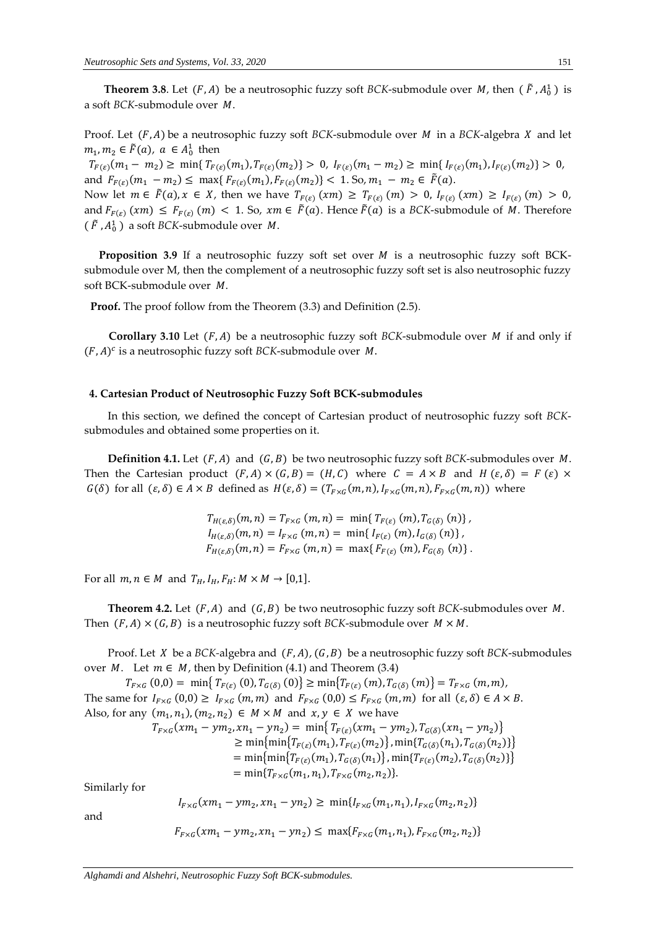**Theorem 3.8**. Let  $(F, A)$  be a neutrosophic fuzzy soft *BCK*-submodule over *M*, then  $(F, A_0^1)$  is a soft *BCK*-submodule over *M*.

Proof. Let  $(F, A)$  be a neutrosophic fuzzy soft *BCK*-submodule over *M* in a *BCK*-algebra *X* and let  $m_1, m_2 \in \tilde{F}(a)$ ,  $a \in A_0^1$  then

 $T_{F(\varepsilon)}(m_1 - m_2) \ge \min\{T_{F(\varepsilon)}(m_1), T_{F(\varepsilon)}(m_2)\} > 0, I_{F(\varepsilon)}(m_1 - m_2) \ge \min\{I_{F(\varepsilon)}(m_1), I_{F(\varepsilon)}(m_2)\} > 0,$ and  $F_{F(\varepsilon)}(m_1 - m_2) \le \max\{F_{F(\varepsilon)}(m_1), F_{F(\varepsilon)}(m_2)\} < 1$ . So,  $m_1 - m_2 \in \tilde{F}(a)$ .

Now let  $m \in \tilde{F}(a), x \in X$ , then we have  $T_{F(\varepsilon)}(xm) \geq T_{F(\varepsilon)}(m) > 0$ ,  $I_{F(\varepsilon)}(xm) \geq I_{F(\varepsilon)}(m) > 0$ , and  $F_{F(\varepsilon)}(xm) \leq F_{F(\varepsilon)}(m) < 1$ . So,  $xm \in \tilde{F}(a)$ . Hence  $\tilde{F}(a)$  is a *BCK*-submodule of *M*. Therefore ( $\tilde{F}$  ,  $A_0^1$  ) a soft *BCK*-submodule over  $\,$  .

**Proposition** 3.9 If a neutrosophic fuzzy soft set over *M* is a neutrosophic fuzzy soft BCKsubmodule over M, then the complement of a neutrosophic fuzzy soft set is also neutrosophic fuzzy soft BCK-submodule over  $M$ .

**Proof.** The proof follow from the Theorem (3.3) and Definition (2.5).

**Corollary 3.10** Let  $(F, A)$  be a neutrosophic fuzzy soft *BCK*-submodule over *M* if and only if  $(F, A)^c$  is a neutrosophic fuzzy soft *BCK*-submodule over *M*.

## **4. Cartesian Product of Neutrosophic Fuzzy Soft BCK-submodules**

In this section, we defined the concept of Cartesian product of neutrosophic fuzzy soft *BCK*submodules and obtained some properties on it.

**Definition 4.1.** Let  $(F, A)$  and  $(G, B)$  be two neutrosophic fuzzy soft *BCK*-submodules over *M*. Then the Cartesian product  $(F, A) \times (G, B) = (H, C)$  where  $C = A \times B$  and  $H(\varepsilon, \delta) = F(\varepsilon) \times$  $G(\delta)$  for all  $(\varepsilon, \delta) \in A \times B$  defined as  $H(\varepsilon, \delta) = (T_{F \times G}(m, n), I_{F \times G}(m, n), F_{F \times G}(m, n))$  where

> $T_{H(\varepsilon,\delta)}(m,n) = T_{F\times G}(m,n) = \min\{T_{F(\varepsilon)}(m), T_{G(\delta)}(n)\},$  $I_{H(\varepsilon,\delta)}(m,n) = I_{F\times G}(m,n) = \min\{I_{F(\varepsilon)}(m), I_{G(\delta)}(n)\},$  $F_{H(\varepsilon,\delta)}(m,n) = F_{F \times G}(m,n) = \max\{F_{F(\varepsilon)}(m), F_{G(\delta)}(n)\}.$

For all  $m, n \in M$  and  $T_H, I_H, F_H: M \times M \rightarrow [0,1]$ .

**Theorem 4.2.** Let  $(F, A)$  and  $(G, B)$  be two neutrosophic fuzzy soft *BCK*-submodules over *M*. Then  $(F, A) \times (G, B)$  is a neutrosophic fuzzy soft *BCK*-submodule over  $M \times M$ .

Proof. Let *X* be a *BCK*-algebra and  $(F, A)$ ,  $(G, B)$  be a neutrosophic fuzzy soft *BCK*-submodules over  $M$ . Let  $m \in M$ , then by Definition (4.1) and Theorem (3.4)

 $T_{F\times G}(0,0) = \min\{T_{F(\varepsilon)}(0), T_{G(\delta)}(0)\}\geq \min\{T_{F(\varepsilon)}(m), T_{G(\delta)}(m)\}=T_{F\times G}(m,m),$ The same for  $I_{F\times G}(0,0) \geq I_{F\times G}(m,m)$  and  $F_{F\times G}(0,0) \leq F_{F\times G}(m,m)$  for all  $(\varepsilon,\delta) \in A \times B$ . Also, for any  $(m_1, n_1), (m_2, n_2) \in M \times M$  and  $x, y \in X$  we have  $T_{F\times G}(xm_1 - ym_2, xn_1 - yn_2) = \min\{T_{F(\varepsilon)}(xm_1 - ym_2), T_{G(\delta)}(xn_1 - yn_2)\}\$  $\geq \min\{\min\{T_{F(\varepsilon)}(m_1), T_{F(\varepsilon)}(m_2)\}, \min\{T_{G(\delta)}(n_1), T_{G(\delta)}(n_2)\}\}\$ = min{min{ $T_{F(\varepsilon)}(m_1)$ ,  $T_{G(\delta)}(n_1)$ }, min{ $T_{F(\varepsilon)}(m_2)$ ,  $T_{G(\delta)}(n_2)$ }  $= \min\{T_{F\times G}(m_1, n_1), T_{F\times G}(m_2, n_2)\}.$ Similarly for  $I_{F\times G}(xm_1 - ym_2, xn_1 - yn_2) \geq \min\{I_{F\times G}(m_1, n_1), I_{F\times G}(m_2, n_2)\}$ 

and

$$
F_{F \times G}(xm_1 - ym_2, xn_1 - yn_2) \leq \max\{F_{F \times G}(m_1, n_1), F_{F \times G}(m_2, n_2)\}\
$$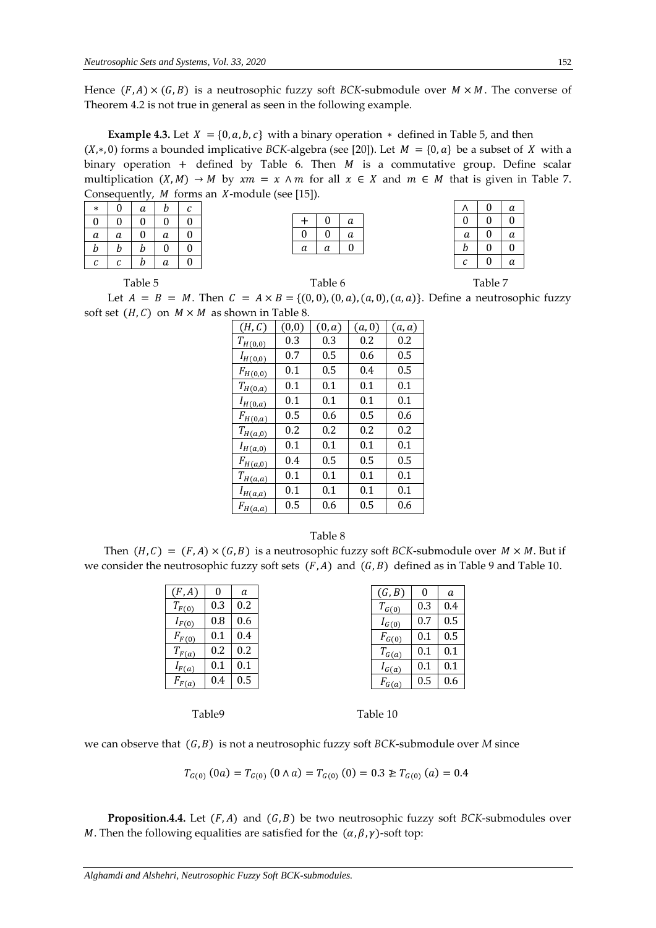Hence  $(F, A) \times (G, B)$  is a neutrosophic fuzzy soft *BCK*-submodule over  $M \times M$ . The converse of Theorem 4.2 is not true in general as seen in the following example.

**Example 4.3.** Let  $X = \{0, a, b, c\}$  with a binary operation  $*$  defined in Table 5, and then  $(X, *0)$  forms a bounded implicative *BCK*-algebra (see [20]). Let  $M = \{0, a\}$  be a subset of X with a binary operation + defined by Table 6. Then  $M$  is a commutative group. Define scalar multiplication  $(X, M) \to M$  by  $xm = x \wedge m$  for all  $x \in X$  and  $m \in M$  that is given in Table 7. Consequently,  $M$  forms an  $X$ -module (see [15]).

| $\ast$           | $\boldsymbol{0}$ | a | b | С |
|------------------|------------------|---|---|---|
| 0                | 0                | 0 | 0 | 0 |
| a                | а                | 0 | а | 0 |
| $\boldsymbol{b}$ | b                | b | 0 | 0 |
| с                | с                | b | а | 0 |

|   |   | а |
|---|---|---|
|   |   | а |
| a | а |   |
|   |   |   |

|   | 0 | а |
|---|---|---|
| 0 | 0 | 0 |
| а | 0 | а |
| b | 0 | 0 |
| С | 0 | а |

Table 5 Table 6 Table 6 Table 7 Table 7 Table 7

Let  $A = B = M$ . Then  $C = A \times B = \{(0, 0), (0, a), (a, 0), (a, a)\}$ . Define a neutrosophic fuzzy soft set  $(H, C)$  on  $M \times M$  as shown in Table 8.

| (H, C)                               | (0,0) | (0, a)  | (a,0) | (a, a)  |
|--------------------------------------|-------|---------|-------|---------|
| $T_{H(0,0)}$                         | 0.3   | 0.3     | 0.2   | 0.2     |
| $I_{H(0,0)}$                         | 0.7   | 0.5     | 0.6   | $0.5\,$ |
| $F_{H(0,0)}$                         | 0.1   | $0.5\,$ | 0.4   | $0.5\,$ |
| $T_{H(0,a)}$                         | 0.1   | 0.1     | 0.1   | 0.1     |
| $I_{H(0,a)}$                         | 0.1   | 0.1     | 0.1   | 0.1     |
| $F_{H(\underline{0},a)}$             | 0.5   | 0.6     | 0.5   | 0.6     |
| $T_{H(\underline{a},0)}$             | 0.2   | 0.2     | 0.2   | 0.2     |
| $I_{H(a,0)}$                         | 0.1   | 0.1     | 0.1   | 0.1     |
| $F_{H(\underline{a},0)}$             | 0.4   | 0.5     | 0.5   | 0.5     |
| $T_{H(\underline{a},\underline{a})}$ | 0.1   | 0.1     | 0.1   | 0.1     |
| $I_{H(\underline{a},\underline{a})}$ | 0.1   | 0.1     | 0.1   | 0.1     |
| $F_{H(a,\underline{a})}$             | 0.5   | 0.6     | 0.5   | 0.6     |

## Table 8

Then  $(H, C) = (F, A) \times (G, B)$  is a neutrosophic fuzzy soft *BCK*-submodule over  $M \times M$ . But if we consider the neutrosophic fuzzy soft sets  $(F, A)$  and  $(G, B)$  defined as in Table 9 and Table 10.

| (F, A)     |     | a   | (G, B)     | 0   | a   |
|------------|-----|-----|------------|-----|-----|
| $T_{F(0)}$ | 0.3 | 0.2 | $T_{G(0)}$ | 0.3 | 0.4 |
| $I_{F(0)}$ | 0.8 | 0.6 | $I_{G(0)}$ | 0.7 | 0.5 |
| $F_{F(0)}$ | 0.1 | 0.4 | $F_{G(0)}$ | 0.1 | 0.5 |
| $T_{F(a)}$ | 0.2 | 0.2 | $T_{G(a)}$ | 0.1 | 0.1 |
| $I_{F(a)}$ | 0.1 | 0.1 | $I_{G(a)}$ | 0.1 | 0.1 |
| $F_{F(a)}$ | 0.4 | 0.5 | $F_{G(a)}$ | 0.5 | 0.6 |

Table 9 Table 10

we can observe that  $(G, B)$  is not a neutrosophic fuzzy soft *BCK*-submodule over *M* since

$$
T_{G(0)}(0a) = T_{G(0)}(0 \land a) = T_{G(0)}(0) = 0.3 \geq T_{G(0)}(a) = 0.4
$$

**Proposition.4.4.** Let  $(F, A)$  and  $(G, B)$  be two neutrosophic fuzzy soft *BCK*-submodules over *M*. Then the following equalities are satisfied for the  $(\alpha, \beta, \gamma)$ -soft top: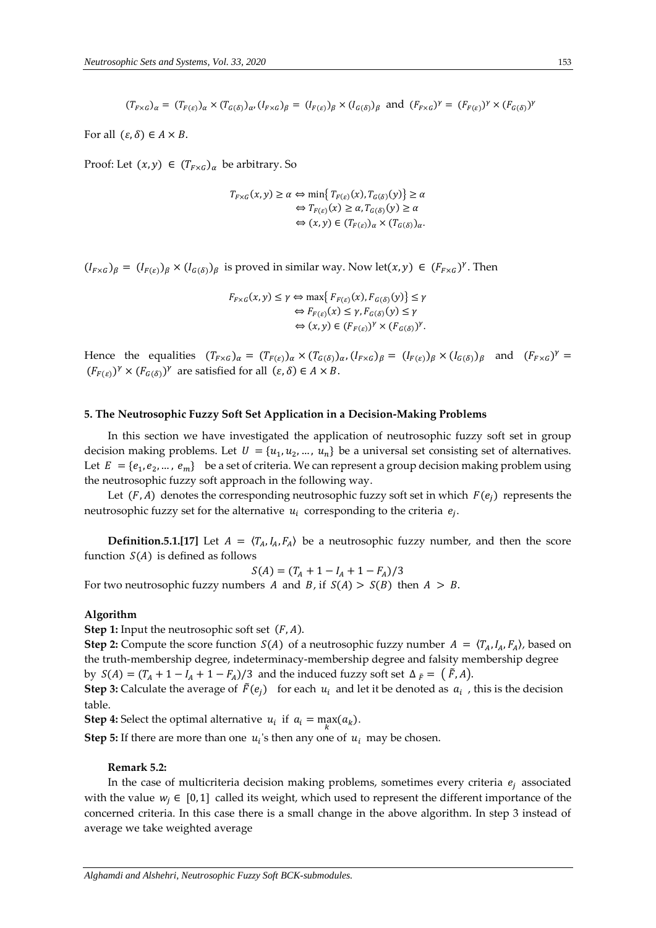$(T_{F\times G})_{\alpha} = (T_{F(\varepsilon)})_{\alpha} \times (T_{G(\delta)})_{\alpha}, (I_{F\times G})_{\beta} = (I_{F(\varepsilon)})_{\beta} \times (I_{G(\delta)})_{\beta}$  and  $(F_{F\times G})^{\gamma} = (F_{F(\varepsilon)})^{\gamma} \times (F_{G(\delta)})^{\gamma}$ 

For all  $(\varepsilon, \delta) \in A \times B$ .

Proof: Let  $(x, y) \in (T_{F \times G})_{\alpha}$  be arbitrary. So

$$
T_{F \times G}(x, y) \ge \alpha \Leftrightarrow \min\{T_{F(\varepsilon)}(x), T_{G(\delta)}(y)\} \ge \alpha
$$
  

$$
\Leftrightarrow T_{F(\varepsilon)}(x) \ge \alpha, T_{G(\delta)}(y) \ge \alpha
$$
  

$$
\Leftrightarrow (x, y) \in (T_{F(\varepsilon)})_{\alpha} \times (T_{G(\delta)})_{\alpha}.
$$

 $(I_{F\times G})_\beta = (I_{F(\varepsilon)})_\beta \times (I_{G(\delta)})_\beta$  is proved in similar way. Now let $(x, y) \in (F_{F\times G})^\gamma$ . Then

 $F_{F\times G}(x, y) \leq \gamma \Leftrightarrow \max\{F_{F(\varepsilon)}(x), F_{G(\delta)}(y)\} \leq \gamma$  $\Leftrightarrow$   $F_{F(\varepsilon)}(x) \leq \gamma$ ,  $F_{G(\delta)}(y) \leq \gamma$  $\Leftrightarrow$   $(x, y) \in (F_{F(\varepsilon)})^{\gamma} \times (F_{G(\delta)})^{\gamma}$ .

Hence the equalities  $(T_{F\times G})_{\alpha} = (T_{F(\varepsilon)})_{\alpha} \times (T_{G(\delta)})_{\alpha}, (I_{F\times G})_{\beta} = (I_{F(\varepsilon)})_{\beta} \times (I_{G(\delta)})_{\beta}$  and  $(F_{F\times G})^{\gamma} =$  $(F_{F(\varepsilon)})^{\gamma} \times (F_{G(\delta)})^{\gamma}$  are satisfied for all  $(\varepsilon, \delta) \in A \times B$ .

## **5. The Neutrosophic Fuzzy Soft Set Application in a Decision-Making Problems**

In this section we have investigated the application of neutrosophic fuzzy soft set in group decision making problems. Let  $U = \{u_1, u_2, ..., u_n\}$  be a universal set consisting set of alternatives. Let  $E = \{e_1, e_2, ..., e_m\}$  be a set of criteria. We can represent a group decision making problem using the neutrosophic fuzzy soft approach in the following way.

Let  $(F, A)$  denotes the corresponding neutrosophic fuzzy soft set in which  $F(e_i)$  represents the neutrosophic fuzzy set for the alternative  $u_i$  corresponding to the criteria  $e_j$ .

**Definition.5.1.**[17] Let  $A = \langle T_A, I_A, F_A \rangle$  be a neutrosophic fuzzy number, and then the score function  $S(A)$  is defined as follows

 $S(A) = (T_A + 1 - I_A + 1 - F_A)/3$ 

For two neutrosophic fuzzy numbers A and B, if  $S(A) > S(B)$  then  $A > B$ .

#### **Algorithm**

**Step 1:** Input the neutrosophic soft set  $(F, A)$ .

**Step 2:** Compute the score function  $S(A)$  of a neutrosophic fuzzy number  $A = \langle T_A, I_A, F_A \rangle$ , based on the truth-membership degree, indeterminacy-membership degree and falsity membership degree by  $S(A) = (T_A + 1 - I_A + 1 - F_A)/3$  and the induced fuzzy soft set  $\Delta_{\tilde{F}} = (\tilde{F}, A)$ .

**Step 3:** Calculate the average of  $\tilde{F}(e_j)$  for each  $u_i$  and let it be denoted as  $a_i$ , this is the decision table.

**Step 4:** Select the optimal alternative  $u_i$  if  $a_i = \max_k (a_k)$ .

**Step 5:** If there are more than one  $u_i$ 's then any one of  $u_i$  may be chosen.

## **Remark 5.2:**

In the case of multicriteria decision making problems, sometimes every criteria  $e_i$  associated with the value  $w_i \in [0,1]$  called its weight, which used to represent the different importance of the concerned criteria. In this case there is a small change in the above algorithm. In step 3 instead of average we take weighted average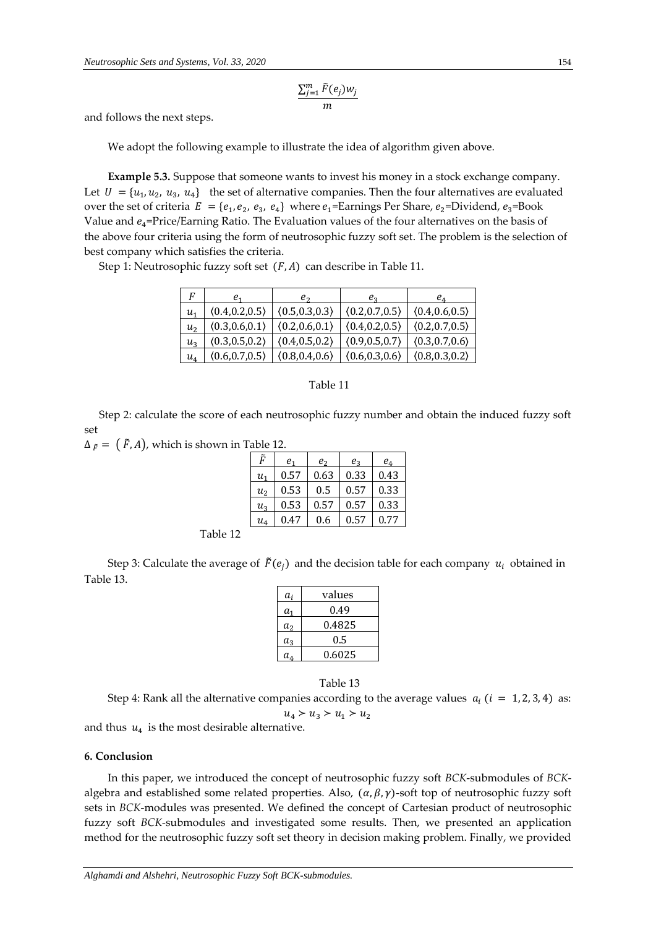$$
\frac{\sum_{j=1}^m \tilde{F}(e_j) w_j}{m}
$$

and follows the next steps.

We adopt the following example to illustrate the idea of algorithm given above.

**Example 5.3.** Suppose that someone wants to invest his money in a stock exchange company. Let  $U = \{u_1, u_2, u_3, u_4\}$  the set of alternative companies. Then the four alternatives are evaluated over the set of criteria  $E = \{e_1, e_2, e_3, e_4\}$  where  $e_1$ =Earnings Per Share,  $e_2$ =Dividend,  $e_3$ =Book Value and  $e_4$ =Price/Earning Ratio. The Evaluation values of the four alternatives on the basis of the above four criteria using the form of neutrosophic fuzzy soft set. The problem is the selection of best company which satisfies the criteria.

Step 1: Neutrosophic fuzzy soft set  $(F, A)$  can describe in Table 11.

| F              | e,              | e <sub>2</sub>  | $e_{3}$         | $e_4$           |
|----------------|-----------------|-----------------|-----------------|-----------------|
| $u_1$          | (0.4, 0.2, 0.5) | (0.5, 0.3, 0.3) | (0.2, 0.7, 0.5) | (0.4, 0.6, 0.5) |
| u <sub>2</sub> | (0.3, 0.6, 0.1) | (0.2, 0.6, 0.1) | (0.4, 0.2, 0.5) | (0.2, 0.7, 0.5) |
| $u_3$          | (0.3, 0.5, 0.2) | (0.4, 0.5, 0.2) | (0.9, 0.5, 0.7) | (0.3, 0.7, 0.6) |
| $u_4$          | (0.6, 0.7, 0.5) | (0.8, 0.4, 0.6) | (0.6, 0.3, 0.6) | (0.8, 0.3, 0.2) |

## Table 11

 Step 2: calculate the score of each neutrosophic fuzzy number and obtain the induced fuzzy soft set

 $\Delta_{\tilde{F}} = (\tilde{F}, A)$ , which is shown in Table 12.

| Ã                                  | e,   | e <sub>2</sub> | $e_{3}$ | $e_{4}$ |
|------------------------------------|------|----------------|---------|---------|
| и,                                 | 0.57 | 0.63           | 0.33    | 0.43    |
| u <sub>2</sub>                     | 0.53 | 0.5            | 0.57    | 0.33    |
| $\mathfrak{u}_\mathfrak{z}$        | 0.53 | 0.57           | 0.57    | 0.33    |
| $u_{\scriptscriptstyle\mathit{A}}$ | 0.47 | 0.6            | 0.57    | 0.77    |

Table 12

Step 3: Calculate the average of  $\tilde{F}(e_i)$  and the decision table for each company  $u_i$  obtained in Table 13.

| a,             | values  |
|----------------|---------|
| $a_1$          | 0.49    |
| a <sub>2</sub> | 0.4825  |
| $a_3$          | $0.5\,$ |
| $a_4$          | 0.6025  |

Table 13

Step 4: Rank all the alternative companies according to the average values  $a_i$  ( $i = 1, 2, 3, 4$ ) as:  $u_4 > u_3 > u_1 > u_2$ 

and thus  $u_4$  is the most desirable alternative.

## **6. Conclusion**

In this paper, we introduced the concept of neutrosophic fuzzy soft *BCK*-submodules of *BCK*algebra and established some related properties. Also,  $(\alpha, \beta, \gamma)$ -soft top of neutrosophic fuzzy soft sets in *BCK*-modules was presented. We defined the concept of Cartesian product of neutrosophic fuzzy soft *BCK*-submodules and investigated some results. Then, we presented an application method for the neutrosophic fuzzy soft set theory in decision making problem. Finally, we provided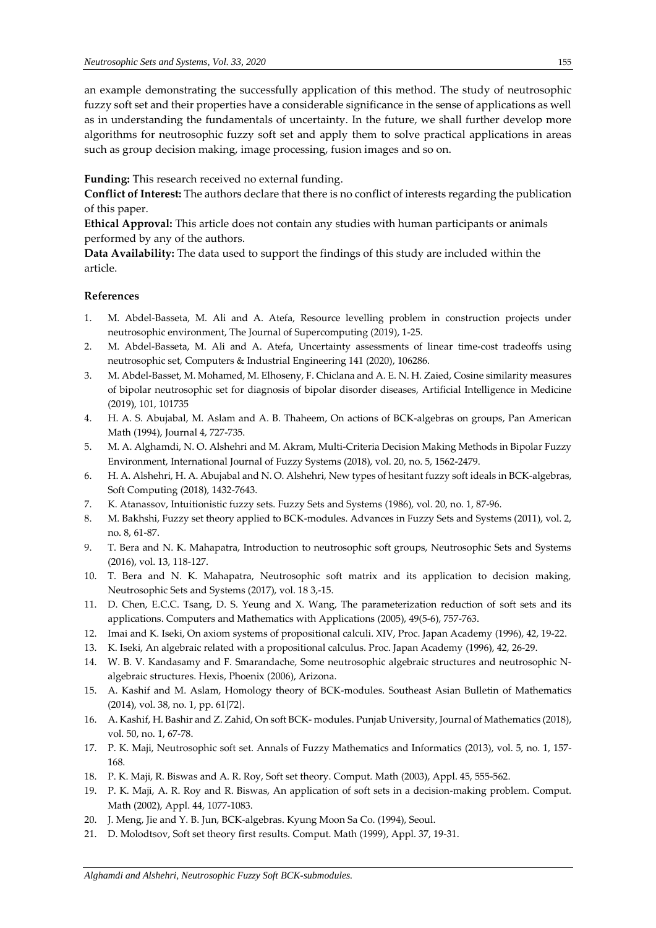an example demonstrating the successfully application of this method. The study of neutrosophic fuzzy soft set and their properties have a considerable significance in the sense of applications as well as in understanding the fundamentals of uncertainty. In the future, we shall further develop more algorithms for neutrosophic fuzzy soft set and apply them to solve practical applications in areas such as group decision making, image processing, fusion images and so on.

**Funding:** This research received no external funding.

**Conflict of Interest:** The authors declare that there is no conflict of interests regarding the publication of this paper.

**Ethical Approval:** This article does not contain any studies with human participants or animals performed by any of the authors.

**Data Availability:** The data used to support the findings of this study are included within the article.

# **References**

- 1. M. Abdel-Basseta, M. Ali and A. Atefa, Resource levelling problem in construction projects under neutrosophic environment, The Journal of Supercomputing (2019), 1-25.
- 2. M. Abdel-Basseta, M. Ali and A. Atefa, Uncertainty assessments of linear time-cost tradeoffs using neutrosophic set, Computers & Industrial Engineering 141 (2020), 106286.
- 3. M. Abdel-Basset, M. Mohamed, M. Elhoseny, F. Chiclana and A. E. N. H. Zaied, Cosine similarity measures of bipolar neutrosophic set for diagnosis of bipolar disorder diseases, Artificial Intelligence in Medicine (2019), 101, 101735
- 4. H. A. S. Abujabal, M. Aslam and A. B. Thaheem, On actions of BCK-algebras on groups, Pan American Math (1994), Journal 4, 727-735.
- 5. M. A. Alghamdi, N. O. Alshehri and M. Akram, Multi-Criteria Decision Making Methods in Bipolar Fuzzy Environment, International Journal of Fuzzy Systems (2018), vol. 20, no. 5, 1562-2479.
- 6. H. A. Alshehri, H. A. Abujabal and N. O. Alshehri, New types of hesitant fuzzy soft ideals in BCK-algebras, Soft Computing (2018), 1432-7643.
- 7. K. Atanassov, Intuitionistic fuzzy sets. Fuzzy Sets and Systems (1986), vol. 20, no. 1, 87-96.
- 8. M. Bakhshi, Fuzzy set theory applied to BCK-modules. Advances in Fuzzy Sets and Systems (2011), vol. 2, no. 8, 61-87.
- 9. T. Bera and N. K. Mahapatra, Introduction to neutrosophic soft groups, Neutrosophic Sets and Systems (2016), vol. 13, 118-127.
- 10. T. Bera and N. K. Mahapatra, Neutrosophic soft matrix and its application to decision making, Neutrosophic Sets and Systems (2017), vol. 18 3,-15.
- 11. D. Chen, E.C.C. Tsang, D. S. Yeung and X. Wang, The parameterization reduction of soft sets and its applications. Computers and Mathematics with Applications (2005), 49(5-6), 757-763.
- 12. Imai and K. Iseki, On axiom systems of propositional calculi. XIV, Proc. Japan Academy (1996), 42, 19-22.
- 13. K. Iseki, An algebraic related with a propositional calculus. Proc. Japan Academy (1996), 42, 26-29.
- 14. W. B. V. Kandasamy and F. Smarandache, Some neutrosophic algebraic structures and neutrosophic Nalgebraic structures. Hexis, Phoenix (2006), Arizona.
- 15. A. Kashif and M. Aslam, Homology theory of BCK-modules. Southeast Asian Bulletin of Mathematics (2014), vol. 38, no. 1, pp. 61{72}.
- 16. A. Kashif, H. Bashir and Z. Zahid, On soft BCK- modules. Punjab University, Journal of Mathematics (2018), vol. 50, no. 1, 67-78.
- 17. P. K. Maji, Neutrosophic soft set. Annals of Fuzzy Mathematics and Informatics (2013), vol. 5, no. 1, 157- 168.
- 18. P. K. Maji, R. Biswas and A. R. Roy, Soft set theory. Comput. Math (2003), Appl. 45, 555-562.
- 19. P. K. Maji, A. R. Roy and R. Biswas, An application of soft sets in a decision-making problem. Comput. Math (2002), Appl. 44, 1077-1083.
- 20. J. Meng, Jie and Y. B. Jun, BCK-algebras. Kyung Moon Sa Co. (1994), Seoul.
- 21. D. Molodtsov, Soft set theory first results. Comput. Math (1999), Appl. 37, 19-31.